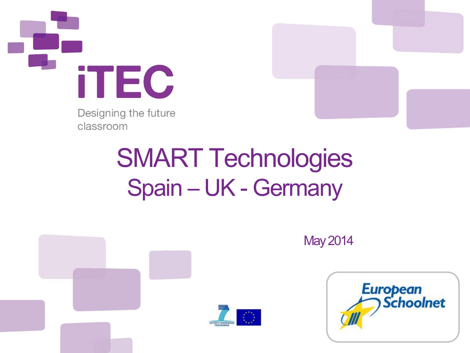

Designing the future classroom



### SMART Technologies Spain – UK - Germany



May2014

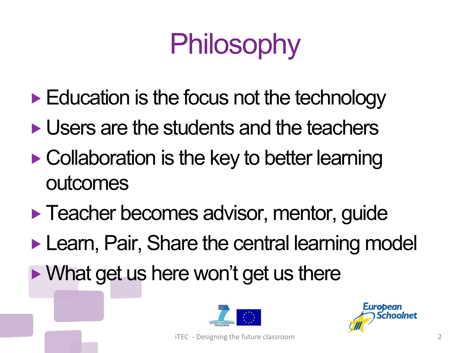# Philosophy

- $\blacktriangleright$  Education is the focus not the technology
- **Users are the students and the teachers**
- Collaboration is the key to better learning outcomes
- **Teacher becomes advisor, mentor, guide Learn, Pair, Share the central learning model** • What get us here won't get us there



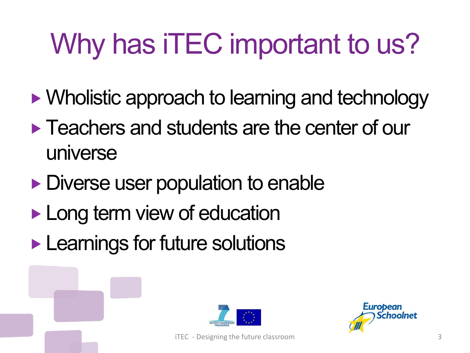# Why has iTEC important to us?

- Wholistic approach to learning and technology
- **Teachers and students are the center of our** universe
- Diverse user population to enable
- **Long term view of education**
- **Learnings for future solutions**



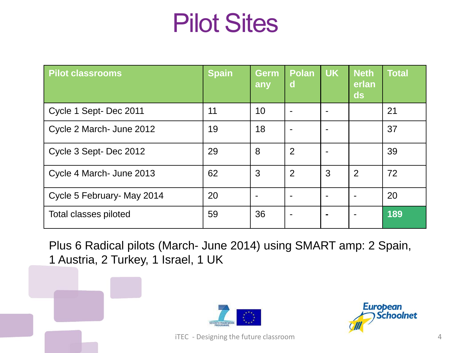#### Pilot Sites

| <b>Pilot classrooms</b>    | <b>Spain</b> | Germ<br><b>lany</b> | <b>Polan</b><br>d | <b>UK</b> | <b>Neth</b><br>erlan<br>ds | <b>Total</b> |
|----------------------------|--------------|---------------------|-------------------|-----------|----------------------------|--------------|
| Cycle 1 Sept-Dec 2011      | 11           | 10                  |                   |           |                            | 21           |
| Cycle 2 March- June 2012   | 19           | 18                  |                   |           |                            | 37           |
| Cycle 3 Sept-Dec 2012      | 29           | 8                   | $\overline{2}$    |           |                            | 39           |
| Cycle 4 March- June 2013   | 62           | 3                   | $\overline{2}$    | 3         | $\overline{2}$             | 72           |
| Cycle 5 February- May 2014 | 20           | $\blacksquare$      |                   |           |                            | 20           |
| Total classes piloted      | 59           | 36                  |                   |           |                            | 189          |

Plus 6 Radical pilots (March- June 2014) using SMART amp: 2 Spain, 1 Austria, 2 Turkey, 1 Israel, 1 UK



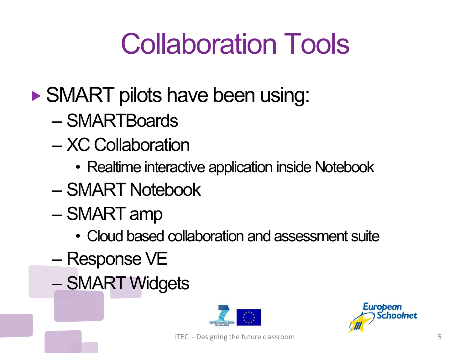### Collaboration Tools

- ▶ SMART pilots have been using:
	- SMARTBoards
	- XC Collaboration
		- Realtime interactive application inside Notebook
	- SMART Notebook
	- SMART amp
		- Cloud based collaboration and assessment suite
	- Response VE
	- SMART Widgets